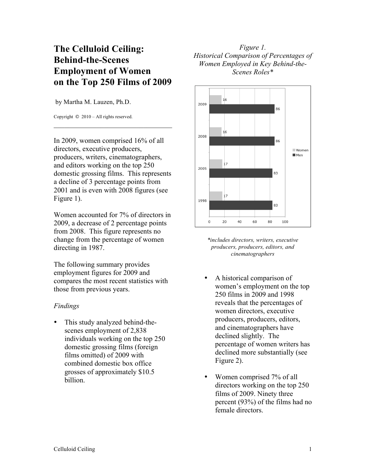## **The Celluloid Ceiling: Behind-the-Scenes Employment of Women on the Top 250 Films of 2009**

by Martha M. Lauzen, Ph.D.

Copyright © 2010 – All rights reserved.

In 2009, women comprised 16% of all directors, executive producers, producers, writers, cinematographers, and editors working on the top 250 domestic grossing films. This represents a decline of 3 percentage points from 2001 and is even with 2008 figures (see Figure 1).

 $\mathcal{L}_\text{max}$  , where  $\mathcal{L}_\text{max}$  is the set of the set of the set of the set of the set of the set of the set of the set of the set of the set of the set of the set of the set of the set of the set of the set of the se

Women accounted for 7% of directors in 2009, a decrease of 2 percentage points from 2008. This figure represents no change from the percentage of women directing in 1987.

The following summary provides employment figures for 2009 and compares the most recent statistics with those from previous years.

## *Findings*

This study analyzed behind-thescenes employment of 2,838 individuals working on the top 250 domestic grossing films (foreign films omitted) of 2009 with combined domestic box office grosses of approximately \$10.5 billion.

## *Figure 1. Historical Comparison of Percentages of Women Employed in Key Behind-the-Scenes Roles\**



*\*includes directors, writers, executive producers, producers, editors, and cinematographers*

- A historical comparison of women's employment on the top 250 films in 2009 and 1998 reveals that the percentages of women directors, executive producers, producers, editors, and cinematographers have declined slightly. The percentage of women writers has declined more substantially (see Figure 2).
- Women comprised 7% of all directors working on the top 250 films of 2009. Ninety three percent (93%) of the films had no female directors.